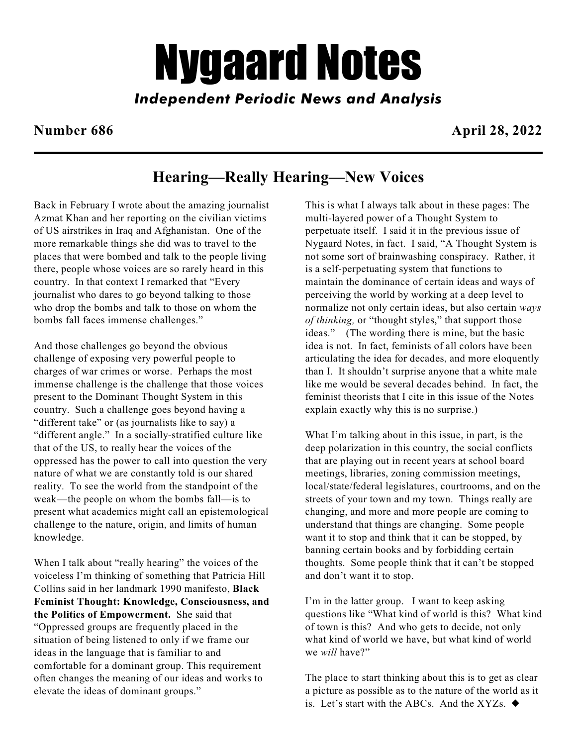# *Nygaard Notes*

*Independent Periodic News and Analysis*

**Number 686 April 28, 2022**

# **Hearing—Really Hearing—New Voices**

Back in February I wrote about the amazing journalist Azmat Khan and her reporting on the civilian victims of US airstrikes in Iraq and Afghanistan. One of the more remarkable things she did was to travel to the places that were bombed and talk to the people living there, people whose voices are so rarely heard in this country. In that context I remarked that "Every journalist who dares to go beyond talking to those who drop the bombs and talk to those on whom the bombs fall faces immense challenges."

And those challenges go beyond the obvious challenge of exposing very powerful people to charges of war crimes or worse. Perhaps the most immense challenge is the challenge that those voices present to the Dominant Thought System in this country. Such a challenge goes beyond having a "different take" or (as journalists like to say) a "different angle." In a socially-stratified culture like that of the US, to really hear the voices of the oppressed has the power to call into question the very nature of what we are constantly told is our shared reality. To see the world from the standpoint of the weak—the people on whom the bombs fall—is to present what academics might call an epistemological challenge to the nature, origin, and limits of human knowledge.

When I talk about "really hearing" the voices of the voiceless I'm thinking of something that Patricia Hill Collins said in her landmark 1990 manifesto, **Black Feminist Thought: Knowledge, Consciousness, and the Politics of Empowerment.** She said that "Oppressed groups are frequently placed in the situation of being listened to only if we frame our ideas in the language that is familiar to and comfortable for a dominant group. This requirement often changes the meaning of our ideas and works to elevate the ideas of dominant groups."

This is what I always talk about in these pages: The multi-layered power of a Thought System to perpetuate itself. I said it in the previous issue of Nygaard Notes, in fact. I said, "A Thought System is not some sort of brainwashing conspiracy. Rather, it is a self-perpetuating system that functions to maintain the dominance of certain ideas and ways of perceiving the world by working at a deep level to normalize not only certain ideas, but also certain *ways of thinking,* or "thought styles," that support those ideas." (The wording there is mine, but the basic idea is not. In fact, feminists of all colors have been articulating the idea for decades, and more eloquently than I. It shouldn't surprise anyone that a white male like me would be several decades behind. In fact, the feminist theorists that I cite in this issue of the Notes explain exactly why this is no surprise.)

What I'm talking about in this issue, in part, is the deep polarization in this country, the social conflicts that are playing out in recent years at school board meetings, libraries, zoning commission meetings, local/state/federal legislatures, courtrooms, and on the streets of your town and my town. Things really are changing, and more and more people are coming to understand that things are changing. Some people want it to stop and think that it can be stopped, by banning certain books and by forbidding certain thoughts. Some people think that it can't be stopped and don't want it to stop.

I'm in the latter group. I want to keep asking questions like "What kind of world is this? What kind of town is this? And who gets to decide, not only what kind of world we have, but what kind of world we *will* have?"

The place to start thinking about this is to get as clear a picture as possible as to the nature of the world as it is. Let's start with the ABCs. And the XYZs.  $\triangleleft$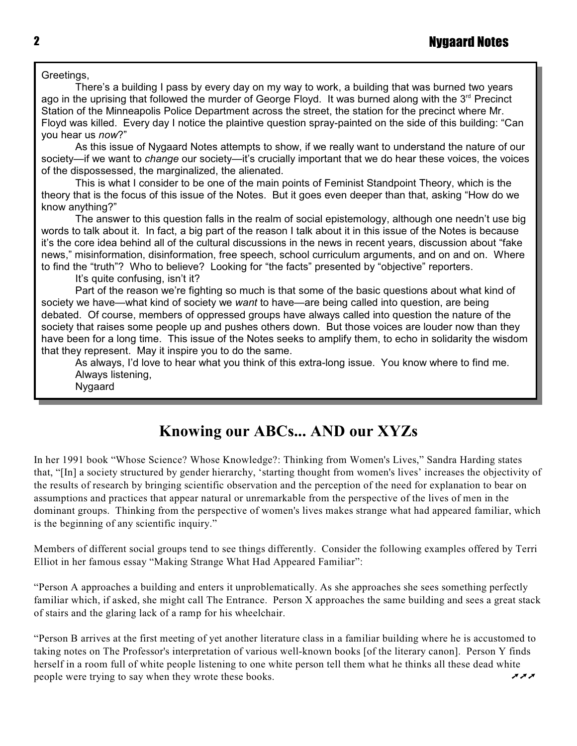Greetings,

There's a building I pass by every day on my way to work, a building that was burned two years ago in the uprising that followed the murder of George Floyd. It was burned along with the  $3<sup>rd</sup>$  Precinct Station of the Minneapolis Police Department across the street, the station for the precinct where Mr. Floyd was killed. Every day I notice the plaintive question spray-painted on the side of this building: "Can you hear us *now*?"

As this issue of Nygaard Notes attempts to show, if we really want to understand the nature of our society—if we want to *change* our society—it's crucially important that we do hear these voices, the voices of the dispossessed, the marginalized, the alienated.

This is what I consider to be one of the main points of Feminist Standpoint Theory, which is the theory that is the focus of this issue of the Notes. But it goes even deeper than that, asking "How do we know anything?"

The answer to this question falls in the realm of social epistemology, although one needn't use big words to talk about it. In fact, a big part of the reason I talk about it in this issue of the Notes is because it's the core idea behind all of the cultural discussions in the news in recent years, discussion about "fake news," misinformation, disinformation, free speech, school curriculum arguments, and on and on. Where to find the "truth"? Who to believe? Looking for "the facts" presented by "objective" reporters.

It's quite confusing, isn't it?

Part of the reason we're fighting so much is that some of the basic questions about what kind of society we have—what kind of society we *want* to have—are being called into question, are being debated. Of course, members of oppressed groups have always called into question the nature of the society that raises some people up and pushes others down. But those voices are louder now than they have been for a long time. This issue of the Notes seeks to amplify them, to echo in solidarity the wisdom that they represent. May it inspire you to do the same.

As always, I'd love to hear what you think of this extra-long issue. You know where to find me. Always listening,

Nygaard

# **Knowing our ABCs... AND our XYZs**

In her 1991 book "Whose Science? Whose Knowledge?: Thinking from Women's Lives," Sandra Harding states that, "[In] a society structured by gender hierarchy, 'starting thought from women's lives' increases the objectivity of the results of research by bringing scientific observation and the perception of the need for explanation to bear on assumptions and practices that appear natural or unremarkable from the perspective of the lives of men in the dominant groups. Thinking from the perspective of women's lives makes strange what had appeared familiar, which is the beginning of any scientific inquiry."

Members of different social groups tend to see things differently. Consider the following examples offered by Terri Elliot in her famous essay "Making Strange What Had Appeared Familiar":

"Person A approaches a building and enters it unproblematically. As she approaches she sees something perfectly familiar which, if asked, she might call The Entrance. Person X approaches the same building and sees a great stack of stairs and the glaring lack of a ramp for his wheelchair.

"Person B arrives at the first meeting of yet another literature class in a familiar building where he is accustomed to taking notes on The Professor's interpretation of various well-known books [of the literary canon]. Person Y finds herself in a room full of white people listening to one white person tell them what he thinks all these dead white people were trying to say when they wrote these books.  $\vec{v}$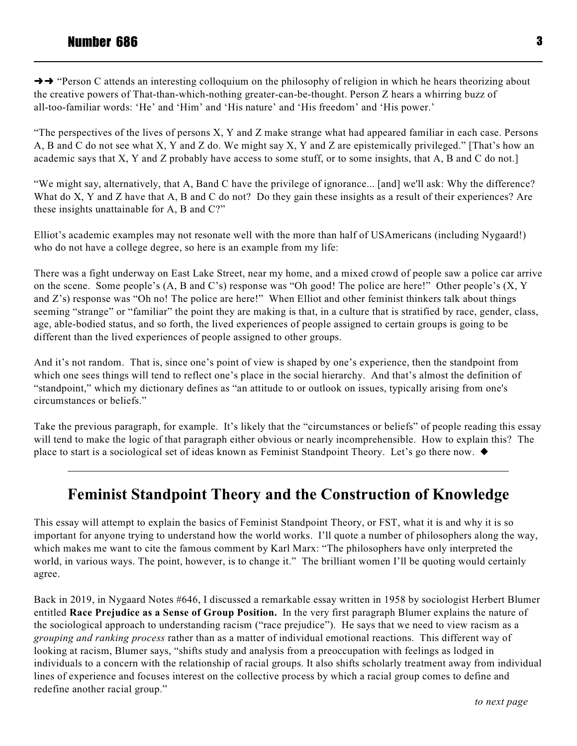$\rightarrow \rightarrow$  "Person C attends an interesting colloquium on the philosophy of religion in which he hears theorizing about the creative powers of That-than-which-nothing greater-can-be-thought. Person Z hears a whirring buzz of all-too-familiar words: 'He' and 'Him' and 'His nature' and 'His freedom' and 'His power.'

"The perspectives of the lives of persons X, Y and Z make strange what had appeared familiar in each case. Persons A, B and C do not see what X, Y and Z do. We might say X, Y and Z are epistemically privileged." [That's how an academic says that X, Y and Z probably have access to some stuff, or to some insights, that A, B and C do not.]

"We might say, alternatively, that A, Band C have the privilege of ignorance... [and] we'll ask: Why the difference? What do X, Y and Z have that A, B and C do not? Do they gain these insights as a result of their experiences? Are these insights unattainable for A, B and C?"

Elliot's academic examples may not resonate well with the more than half of USAmericans (including Nygaard!) who do not have a college degree, so here is an example from my life:

There was a fight underway on East Lake Street, near my home, and a mixed crowd of people saw a police car arrive on the scene. Some people's (A, B and C's) response was "Oh good! The police are here!" Other people's (X, Y and Z's) response was "Oh no! The police are here!" When Elliot and other feminist thinkers talk about things seeming "strange" or "familiar" the point they are making is that, in a culture that is stratified by race, gender, class, age, able-bodied status, and so forth, the lived experiences of people assigned to certain groups is going to be different than the lived experiences of people assigned to other groups.

And it's not random. That is, since one's point of view is shaped by one's experience, then the standpoint from which one sees things will tend to reflect one's place in the social hierarchy. And that's almost the definition of "standpoint," which my dictionary defines as "an attitude to or outlook on issues, typically arising from one's circumstances or beliefs."

Take the previous paragraph, for example. It's likely that the "circumstances or beliefs" of people reading this essay will tend to make the logic of that paragraph either obvious or nearly incomprehensible. How to explain this? The place to start is a sociological set of ideas known as Feminist Standpoint Theory. Let's go there now.

# **Feminist Standpoint Theory and the Construction of Knowledge**

This essay will attempt to explain the basics of Feminist Standpoint Theory, or FST, what it is and why it is so important for anyone trying to understand how the world works. I'll quote a number of philosophers along the way, which makes me want to cite the famous comment by Karl Marx: "The philosophers have only interpreted the world, in various ways. The point, however, is to change it." The brilliant women I'll be quoting would certainly agree.

Back in 2019, in Nygaard Notes #646, I discussed a remarkable essay written in 1958 by sociologist Herbert Blumer entitled **Race Prejudice as a Sense of Group Position.** In the very first paragraph Blumer explains the nature of the sociological approach to understanding racism ("race prejudice"). He says that we need to view racism as a *grouping and ranking process* rather than as a matter of individual emotional reactions. This different way of looking at racism, Blumer says, "shifts study and analysis from a preoccupation with feelings as lodged in individuals to a concern with the relationship of racial groups. It also shifts scholarly treatment away from individual lines of experience and focuses interest on the collective process by which a racial group comes to define and redefine another racial group."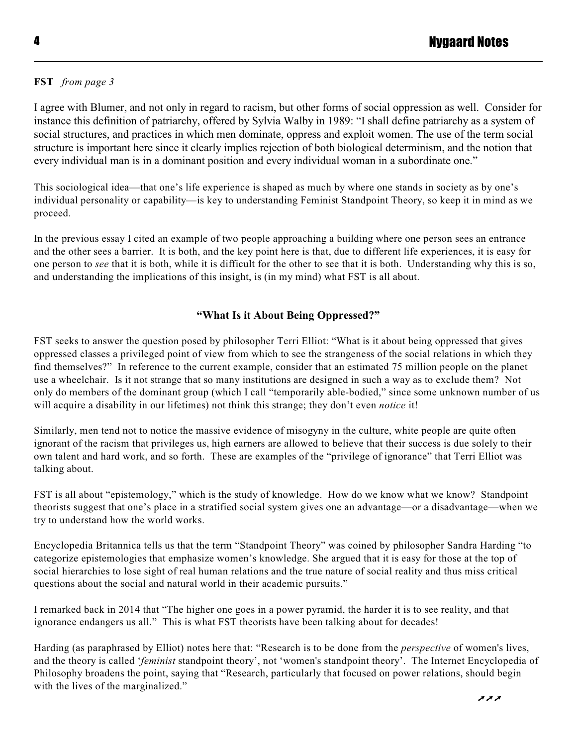#### **FST** *from page 3*

I agree with Blumer, and not only in regard to racism, but other forms of social oppression as well. Consider for instance this definition of patriarchy, offered by Sylvia Walby in 1989: "I shall define patriarchy as a system of social structures, and practices in which men dominate, oppress and exploit women. The use of the term social structure is important here since it clearly implies rejection of both biological determinism, and the notion that every individual man is in a dominant position and every individual woman in a subordinate one."

This sociological idea—that one's life experience is shaped as much by where one stands in society as by one's individual personality or capability—is key to understanding Feminist Standpoint Theory, so keep it in mind as we proceed.

In the previous essay I cited an example of two people approaching a building where one person sees an entrance and the other sees a barrier. It is both, and the key point here is that, due to different life experiences, it is easy for one person to *see* that it is both, while it is difficult for the other to see that it is both. Understanding why this is so, and understanding the implications of this insight, is (in my mind) what FST is all about.

#### **"What Is it About Being Oppressed?"**

FST seeks to answer the question posed by philosopher Terri Elliot: "What is it about being oppressed that gives oppressed classes a privileged point of view from which to see the strangeness of the social relations in which they find themselves?" In reference to the current example, consider that an estimated 75 million people on the planet use a wheelchair. Is it not strange that so many institutions are designed in such a way as to exclude them? Not only do members of the dominant group (which I call "temporarily able-bodied," since some unknown number of us will acquire a disability in our lifetimes) not think this strange; they don't even *notice* it!

Similarly, men tend not to notice the massive evidence of misogyny in the culture, white people are quite often ignorant of the racism that privileges us, high earners are allowed to believe that their success is due solely to their own talent and hard work, and so forth. These are examples of the "privilege of ignorance" that Terri Elliot was talking about.

FST is all about "epistemology," which is the study of knowledge. How do we know what we know? Standpoint theorists suggest that one's place in a stratified social system gives one an advantage—or a disadvantage—when we try to understand how the world works.

Encyclopedia Britannica tells us that the term "Standpoint Theory" was coined by philosopher Sandra Harding "to categorize epistemologies that emphasize women's knowledge. She argued that it is easy for those at the top of social hierarchies to lose sight of real human relations and the true nature of social reality and thus miss critical questions about the social and natural world in their academic pursuits."

I remarked back in 2014 that "The higher one goes in a power pyramid, the harder it is to see reality, and that ignorance endangers us all." This is what FST theorists have been talking about for decades!

Harding (as paraphrased by Elliot) notes here that: "Research is to be done from the *perspective* of women's lives, and the theory is called '*feminist* standpoint theory', not 'women's standpoint theory'. The Internet Encyclopedia of Philosophy broadens the point, saying that "Research, particularly that focused on power relations, should begin with the lives of the marginalized."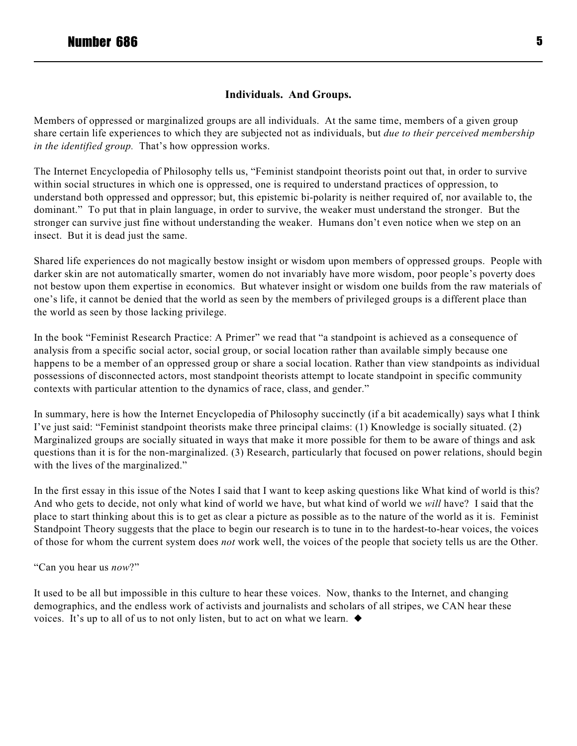#### **Individuals. And Groups.**

Members of oppressed or marginalized groups are all individuals. At the same time, members of a given group share certain life experiences to which they are subjected not as individuals, but *due to their perceived membership in the identified group.* That's how oppression works.

The Internet Encyclopedia of Philosophy tells us, "Feminist standpoint theorists point out that, in order to survive within social structures in which one is oppressed, one is required to understand practices of oppression, to understand both oppressed and oppressor; but, this epistemic bi-polarity is neither required of, nor available to, the dominant." To put that in plain language, in order to survive, the weaker must understand the stronger. But the stronger can survive just fine without understanding the weaker. Humans don't even notice when we step on an insect. But it is dead just the same.

Shared life experiences do not magically bestow insight or wisdom upon members of oppressed groups. People with darker skin are not automatically smarter, women do not invariably have more wisdom, poor people's poverty does not bestow upon them expertise in economics. But whatever insight or wisdom one builds from the raw materials of one's life, it cannot be denied that the world as seen by the members of privileged groups is a different place than the world as seen by those lacking privilege.

In the book "Feminist Research Practice: A Primer" we read that "a standpoint is achieved as a consequence of analysis from a specific social actor, social group, or social location rather than available simply because one happens to be a member of an oppressed group or share a social location. Rather than view standpoints as individual possessions of disconnected actors, most standpoint theorists attempt to locate standpoint in specific community contexts with particular attention to the dynamics of race, class, and gender."

In summary, here is how the Internet Encyclopedia of Philosophy succinctly (if a bit academically) says what I think I've just said: "Feminist standpoint theorists make three principal claims: (1) Knowledge is socially situated. (2) Marginalized groups are socially situated in ways that make it more possible for them to be aware of things and ask questions than it is for the non-marginalized. (3) Research, particularly that focused on power relations, should begin with the lives of the marginalized."

In the first essay in this issue of the Notes I said that I want to keep asking questions like What kind of world is this? And who gets to decide, not only what kind of world we have, but what kind of world we *will* have? I said that the place to start thinking about this is to get as clear a picture as possible as to the nature of the world as it is. Feminist Standpoint Theory suggests that the place to begin our research is to tune in to the hardest-to-hear voices, the voices of those for whom the current system does *not* work well, the voices of the people that society tells us are the Other.

"Can you hear us *now*?"

It used to be all but impossible in this culture to hear these voices. Now, thanks to the Internet, and changing demographics, and the endless work of activists and journalists and scholars of all stripes, we CAN hear these voices. It's up to all of us to not only listen, but to act on what we learn.  $\blacklozenge$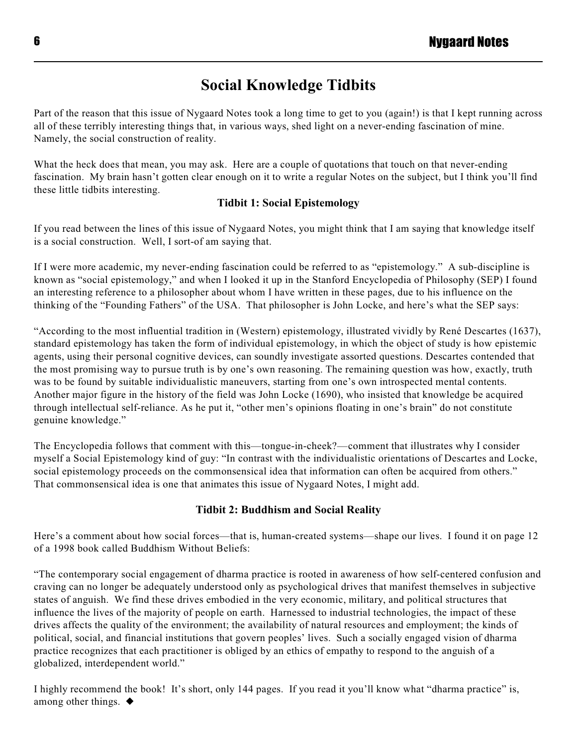# **Social Knowledge Tidbits**

Part of the reason that this issue of Nygaard Notes took a long time to get to you (again!) is that I kept running across all of these terribly interesting things that, in various ways, shed light on a never-ending fascination of mine. Namely, the social construction of reality.

What the heck does that mean, you may ask. Here are a couple of quotations that touch on that never-ending fascination. My brain hasn't gotten clear enough on it to write a regular Notes on the subject, but I think you'll find these little tidbits interesting.

#### **Tidbit 1: Social Epistemology**

If you read between the lines of this issue of Nygaard Notes, you might think that I am saying that knowledge itself is a social construction. Well, I sort-of am saying that.

If I were more academic, my never-ending fascination could be referred to as "epistemology." A sub-discipline is known as "social epistemology," and when I looked it up in the Stanford Encyclopedia of Philosophy (SEP) I found an interesting reference to a philosopher about whom I have written in these pages, due to his influence on the thinking of the "Founding Fathers" of the USA. That philosopher is John Locke, and here's what the SEP says:

"According to the most influential tradition in (Western) epistemology, illustrated vividly by René Descartes (1637), standard epistemology has taken the form of individual epistemology, in which the object of study is how epistemic agents, using their personal cognitive devices, can soundly investigate assorted questions. Descartes contended that the most promising way to pursue truth is by one's own reasoning. The remaining question was how, exactly, truth was to be found by suitable individualistic maneuvers, starting from one's own introspected mental contents. Another major figure in the history of the field was John Locke (1690), who insisted that knowledge be acquired through intellectual self-reliance. As he put it, "other men's opinions floating in one's brain" do not constitute genuine knowledge."

The Encyclopedia follows that comment with this—tongue-in-cheek?—comment that illustrates why I consider myself a Social Epistemology kind of guy: "In contrast with the individualistic orientations of Descartes and Locke, social epistemology proceeds on the commonsensical idea that information can often be acquired from others." That commonsensical idea is one that animates this issue of Nygaard Notes, I might add.

### **Tidbit 2: Buddhism and Social Reality**

Here's a comment about how social forces—that is, human-created systems—shape our lives. I found it on page 12 of a 1998 book called Buddhism Without Beliefs:

"The contemporary social engagement of dharma practice is rooted in awareness of how self-centered confusion and craving can no longer be adequately understood only as psychological drives that manifest themselves in subjective states of anguish. We find these drives embodied in the very economic, military, and political structures that influence the lives of the majority of people on earth. Harnessed to industrial technologies, the impact of these drives affects the quality of the environment; the availability of natural resources and employment; the kinds of political, social, and financial institutions that govern peoples' lives. Such a socially engaged vision of dharma practice recognizes that each practitioner is obliged by an ethics of empathy to respond to the anguish of a globalized, interdependent world."

I highly recommend the book! It's short, only 144 pages. If you read it you'll know what "dharma practice" is, among other things.  $\blacklozenge$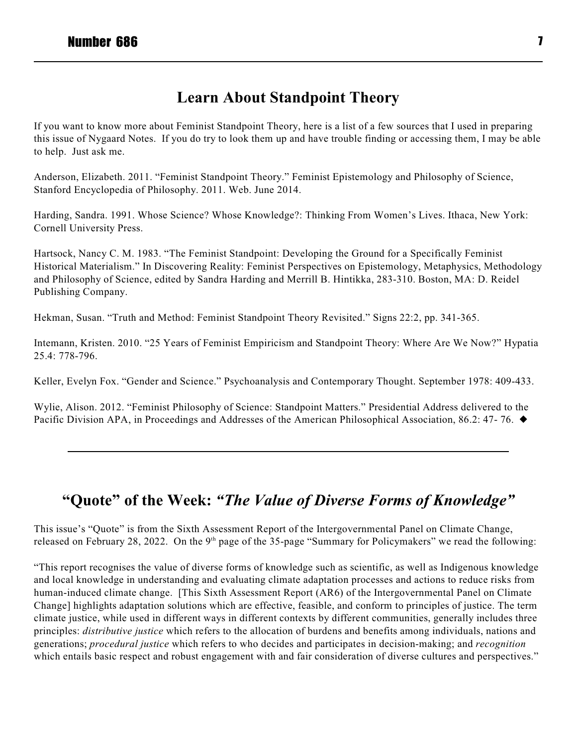# **Learn About Standpoint Theory**

If you want to know more about Feminist Standpoint Theory, here is a list of a few sources that I used in preparing this issue of Nygaard Notes. If you do try to look them up and have trouble finding or accessing them, I may be able to help. Just ask me.

Anderson, Elizabeth. 2011. "Feminist Standpoint Theory." Feminist Epistemology and Philosophy of Science, Stanford Encyclopedia of Philosophy. 2011. Web. June 2014.

Harding, Sandra. 1991. Whose Science? Whose Knowledge?: Thinking From Women's Lives. Ithaca, New York: Cornell University Press.

Hartsock, Nancy C. M. 1983. "The Feminist Standpoint: Developing the Ground for a Specifically Feminist Historical Materialism." In Discovering Reality: Feminist Perspectives on Epistemology, Metaphysics, Methodology and Philosophy of Science, edited by Sandra Harding and Merrill B. Hintikka, 283-310. Boston, MA: D. Reidel Publishing Company.

Hekman, Susan. "Truth and Method: Feminist Standpoint Theory Revisited." Signs 22:2, pp. 341-365.

Intemann, Kristen. 2010. "25 Years of Feminist Empiricism and Standpoint Theory: Where Are We Now?" Hypatia 25.4: 778-796.

Keller, Evelyn Fox. "Gender and Science." Psychoanalysis and Contemporary Thought. September 1978: 409-433.

Wylie, Alison. 2012. "Feminist Philosophy of Science: Standpoint Matters." Presidential Address delivered to the Pacific Division APA, in Proceedings and Addresses of the American Philosophical Association, 86.2: 47-76. ♦

# **"Quote" of the Week:** *"The Value of Diverse Forms of Knowledge"*

This issue's "Quote" is from the Sixth Assessment Report of the Intergovernmental Panel on Climate Change, released on February 28, 2022. On the  $9<sup>th</sup>$  page of the 35-page "Summary for Policymakers" we read the following:

"This report recognises the value of diverse forms of knowledge such as scientific, as well as Indigenous knowledge and local knowledge in understanding and evaluating climate adaptation processes and actions to reduce risks from human-induced climate change. [This Sixth Assessment Report (AR6) of the Intergovernmental Panel on Climate Change] highlights adaptation solutions which are effective, feasible, and conform to principles of justice. The term climate justice, while used in different ways in different contexts by different communities, generally includes three principles: *distributive justice* which refers to the allocation of burdens and benefits among individuals, nations and generations; *procedural justice* which refers to who decides and participates in decision-making; and *recognition* which entails basic respect and robust engagement with and fair consideration of diverse cultures and perspectives."